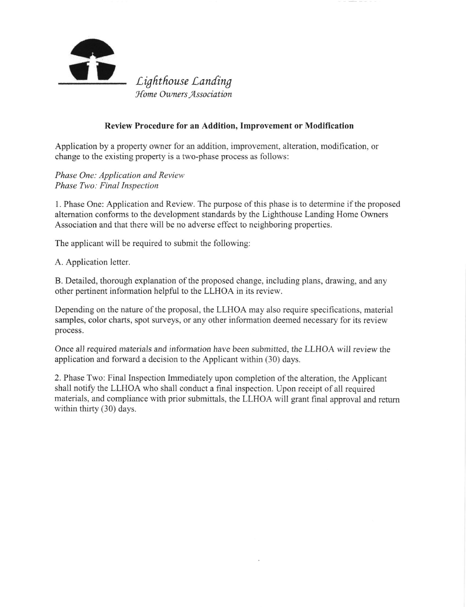

## Review Procedure for an Addition, Improvement or Modification

Application by a property owner for an addition, improvement, alteration, modification, or change to the existing property is a two-phase process as follows:

Phase One: Application and Review Phase Two: Final Inspection

1. Phase One: Application and Review. The purpose ofthis phase is to determine if the proposed altemation conforms to the development standards by the Lighthouse Landing Home Owners Association and that there will be no adverse effect to neighboring properties.

The applicant will be required to submit the following:

A. Application letter.

B. Detailed, thorough explanation of the proposed change, including plans, drawing, and any other pertinent information helpful to the LLHOA in its review.

Depending on the nature of the proposal, the LLHOA may also require specifications, material samples, color charts, spot surveys, or any other information deemed necessary for its review process.

Once all required materials and information have been submitted, the LLHOA will review the application and forward a decision to the Applicant within (30) days.

2. Phase Two: Final Inspection Immediately upon completion of the alteration, the Applicant shall notify the LLHOA who shall conduct a final inspection. Upon receipt of all required materials, and compliance with prior submittals, the LLHOA will grant final approval and return within thirty (30) days.